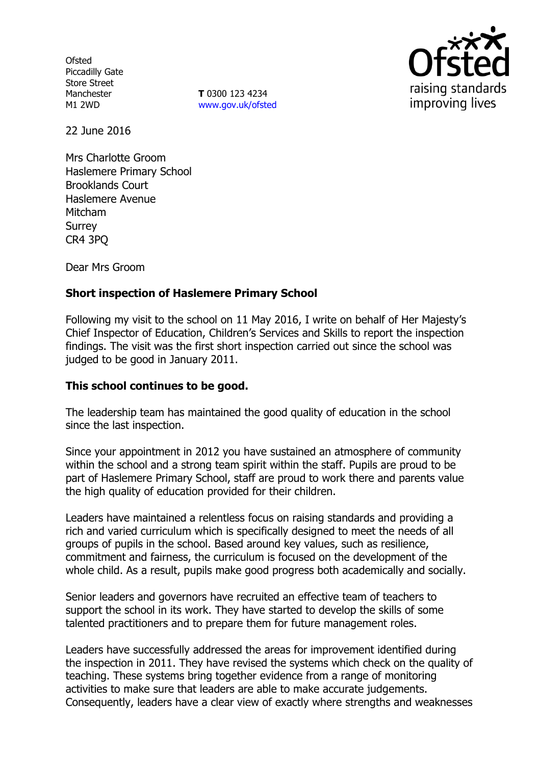**Ofsted** Piccadilly Gate Store Street Manchester M1 2WD

**T** 0300 123 4234 www.gov.uk/ofsted



22 June 2016

Mrs Charlotte Groom Haslemere Primary School Brooklands Court Haslemere Avenue Mitcham Surrey CR4 3PQ

Dear Mrs Groom

## **Short inspection of Haslemere Primary School**

Following my visit to the school on 11 May 2016, I write on behalf of Her Majesty's Chief Inspector of Education, Children's Services and Skills to report the inspection findings. The visit was the first short inspection carried out since the school was judged to be good in January 2011.

#### **This school continues to be good.**

The leadership team has maintained the good quality of education in the school since the last inspection.

Since your appointment in 2012 you have sustained an atmosphere of community within the school and a strong team spirit within the staff. Pupils are proud to be part of Haslemere Primary School, staff are proud to work there and parents value the high quality of education provided for their children.

Leaders have maintained a relentless focus on raising standards and providing a rich and varied curriculum which is specifically designed to meet the needs of all groups of pupils in the school. Based around key values, such as resilience, commitment and fairness, the curriculum is focused on the development of the whole child. As a result, pupils make good progress both academically and socially.

Senior leaders and governors have recruited an effective team of teachers to support the school in its work. They have started to develop the skills of some talented practitioners and to prepare them for future management roles.

Leaders have successfully addressed the areas for improvement identified during the inspection in 2011. They have revised the systems which check on the quality of teaching. These systems bring together evidence from a range of monitoring activities to make sure that leaders are able to make accurate judgements. Consequently, leaders have a clear view of exactly where strengths and weaknesses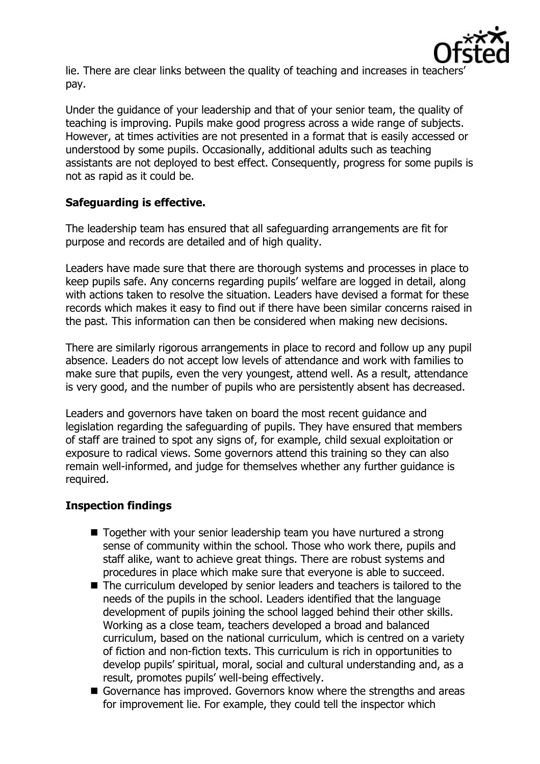

lie. There are clear links between the quality of teaching and increases in teacher pay.

Under the guidance of your leadership and that of your senior team, the quality of teaching is improving. Pupils make good progress across a wide range of subjects. However, at times activities are not presented in a format that is easily accessed or understood by some pupils. Occasionally, additional adults such as teaching assistants are not deployed to best effect. Consequently, progress for some pupils is not as rapid as it could be.

# **Safeguarding is effective.**

The leadership team has ensured that all safeguarding arrangements are fit for purpose and records are detailed and of high quality.

Leaders have made sure that there are thorough systems and processes in place to keep pupils safe. Any concerns regarding pupils' welfare are logged in detail, along with actions taken to resolve the situation. Leaders have devised a format for these records which makes it easy to find out if there have been similar concerns raised in the past. This information can then be considered when making new decisions.

There are similarly rigorous arrangements in place to record and follow up any pupil absence. Leaders do not accept low levels of attendance and work with families to make sure that pupils, even the very youngest, attend well. As a result, attendance is very good, and the number of pupils who are persistently absent has decreased.

Leaders and governors have taken on board the most recent guidance and legislation regarding the safeguarding of pupils. They have ensured that members of staff are trained to spot any signs of, for example, child sexual exploitation or exposure to radical views. Some governors attend this training so they can also remain well-informed, and judge for themselves whether any further guidance is required.

# **Inspection findings**

- Together with your senior leadership team you have nurtured a strong sense of community within the school. Those who work there, pupils and staff alike, want to achieve great things. There are robust systems and procedures in place which make sure that everyone is able to succeed.
- The curriculum developed by senior leaders and teachers is tailored to the needs of the pupils in the school. Leaders identified that the language development of pupils joining the school lagged behind their other skills. Working as a close team, teachers developed a broad and balanced curriculum, based on the national curriculum, which is centred on a variety of fiction and non-fiction texts. This curriculum is rich in opportunities to develop pupils' spiritual, moral, social and cultural understanding and, as a result, promotes pupils' well-being effectively.
- Governance has improved. Governors know where the strengths and areas for improvement lie. For example, they could tell the inspector which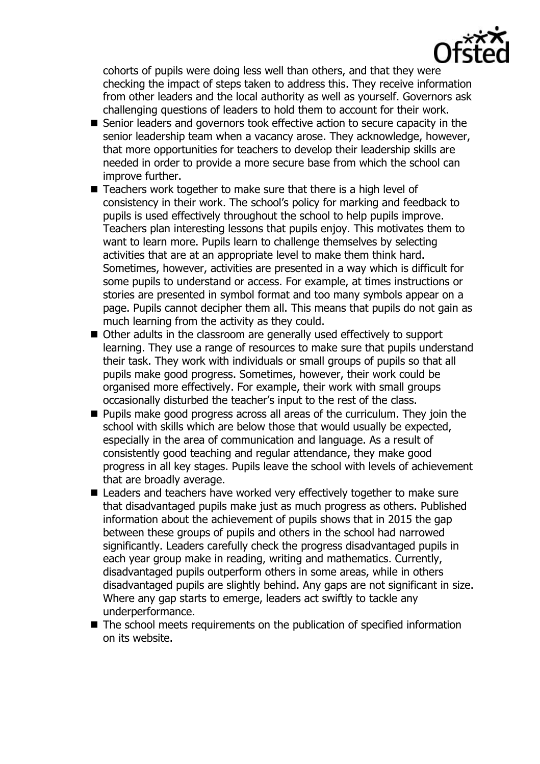

cohorts of pupils were doing less well than others, and that they were checking the impact of steps taken to address this. They receive information from other leaders and the local authority as well as yourself. Governors ask challenging questions of leaders to hold them to account for their work.

- Senior leaders and governors took effective action to secure capacity in the senior leadership team when a vacancy arose. They acknowledge, however, that more opportunities for teachers to develop their leadership skills are needed in order to provide a more secure base from which the school can improve further.
- Teachers work together to make sure that there is a high level of consistency in their work. The school's policy for marking and feedback to pupils is used effectively throughout the school to help pupils improve. Teachers plan interesting lessons that pupils enjoy. This motivates them to want to learn more. Pupils learn to challenge themselves by selecting activities that are at an appropriate level to make them think hard. Sometimes, however, activities are presented in a way which is difficult for some pupils to understand or access. For example, at times instructions or stories are presented in symbol format and too many symbols appear on a page. Pupils cannot decipher them all. This means that pupils do not gain as much learning from the activity as they could.
- Other adults in the classroom are generally used effectively to support learning. They use a range of resources to make sure that pupils understand their task. They work with individuals or small groups of pupils so that all pupils make good progress. Sometimes, however, their work could be organised more effectively. For example, their work with small groups occasionally disturbed the teacher's input to the rest of the class.
- **Pupils make good progress across all areas of the curriculum. They join the** school with skills which are below those that would usually be expected, especially in the area of communication and language. As a result of consistently good teaching and regular attendance, they make good progress in all key stages. Pupils leave the school with levels of achievement that are broadly average.
- Leaders and teachers have worked very effectively together to make sure that disadvantaged pupils make just as much progress as others. Published information about the achievement of pupils shows that in 2015 the gap between these groups of pupils and others in the school had narrowed significantly. Leaders carefully check the progress disadvantaged pupils in each year group make in reading, writing and mathematics. Currently, disadvantaged pupils outperform others in some areas, while in others disadvantaged pupils are slightly behind. Any gaps are not significant in size. Where any gap starts to emerge, leaders act swiftly to tackle any underperformance.
- The school meets requirements on the publication of specified information on its website.